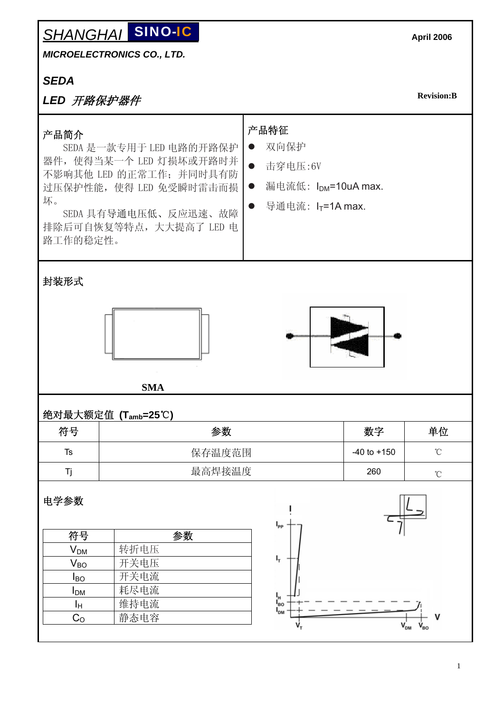#### **SHANGHAI SINO-IC** SINO-IC

*MICROELECTRONICS CO., LTD.* 

## *SEDA*

# *LED* 开路保护器件

**Revision:B** 

| 产品简介<br>坏。<br>路工作的稳定性。          | SEDA 是一款专用于 LED 电路的开路保护<br>器件, 使得当某一个 LED 灯损坏或开路时并<br>不影响其他 LED 的正常工作; 并同时具有防<br>过压保护性能, 使得 LED 免受瞬时雷击而损<br>SEDA 具有导通电压低、反应迅速、故障<br>排除后可自恢复等特点, 大大提高了 LED 电 | 产品特征<br>双向保护<br>击穿电压:6V<br>$\bullet$<br>漏电流低: I <sub>DM</sub> =10uA max.<br>$\bullet$<br>导通电流: IT=1A max. |                 |                            |  |  |  |
|---------------------------------|-------------------------------------------------------------------------------------------------------------------------------------------------------------|-----------------------------------------------------------------------------------------------------------|-----------------|----------------------------|--|--|--|
| 封装形式                            |                                                                                                                                                             |                                                                                                           |                 |                            |  |  |  |
| <b>SMA</b>                      |                                                                                                                                                             |                                                                                                           |                 |                            |  |  |  |
| 绝对最大额定值 (T <sub>amb</sub> =25℃) |                                                                                                                                                             |                                                                                                           |                 |                            |  |  |  |
| 符号                              | 参数                                                                                                                                                          | 数字                                                                                                        | 单位              |                            |  |  |  |
| <b>Ts</b>                       | 保存温度范围                                                                                                                                                      |                                                                                                           | $-40$ to $+150$ | $\rm ^{\circ}C$            |  |  |  |
| Τj                              | 最高焊接温度                                                                                                                                                      |                                                                                                           | 260             | $^{\circ}\!{\rm C}$        |  |  |  |
| 电学参数                            |                                                                                                                                                             | $I_{\rm pp}$                                                                                              |                 |                            |  |  |  |
| 符号                              | 参数                                                                                                                                                          |                                                                                                           |                 |                            |  |  |  |
| $\mathsf{V}_\mathsf{DM}$        | 转折电压                                                                                                                                                        |                                                                                                           |                 |                            |  |  |  |
| $V_{BO}$                        | 开关电压                                                                                                                                                        | і,                                                                                                        |                 |                            |  |  |  |
| $I_{BO}$                        | 开关电流                                                                                                                                                        |                                                                                                           |                 |                            |  |  |  |
| <b>I</b> <sub>DM</sub>          | 耗尽电流                                                                                                                                                        |                                                                                                           |                 |                            |  |  |  |
| Iн                              | 维持电流                                                                                                                                                        | I <sub>H</sub><br>I <sub>BO</sub><br>$I_{DM}$                                                             |                 |                            |  |  |  |
| $C_{\rm O}$                     | 静态电容                                                                                                                                                        |                                                                                                           |                 | $\mathsf{V}_{\mathsf{DM}}$ |  |  |  |
|                                 |                                                                                                                                                             |                                                                                                           |                 |                            |  |  |  |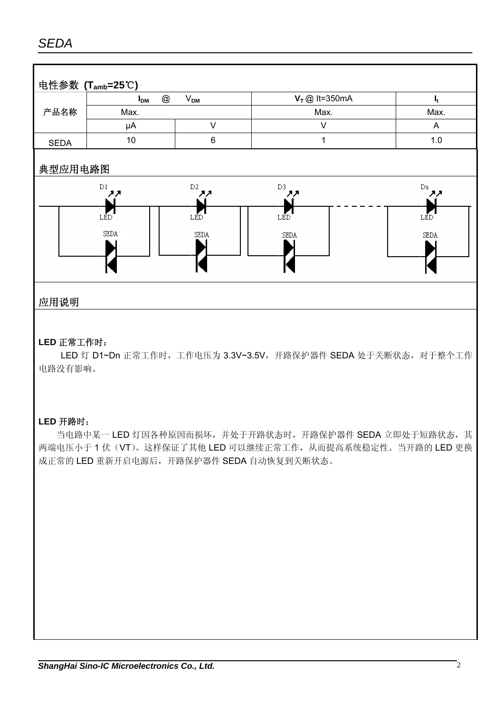# *SEDA*



### 应用说明

#### **LED** 正常工作时:

LED 灯 D1~Dn 正常工作时,工作电压为 3.3V~3.5V, 开路保护器件 SEDA 处于关断状态, 对于整个工作 电路没有影响。

#### **LED** 开路时:

当电路中某一 LED 灯因各种原因而损坏,并处于开路状态时,开路保护器件 SEDA 立即处于短路状态,其 两端电压小于 1 伏(VT)。这样保证了其他 LED 可以继续正常工作,从而提高系统稳定性。当开路的 LED 更换 成正常的 LED 重新开启电源后,开路保护器件 SEDA 自动恢复到关断状态。